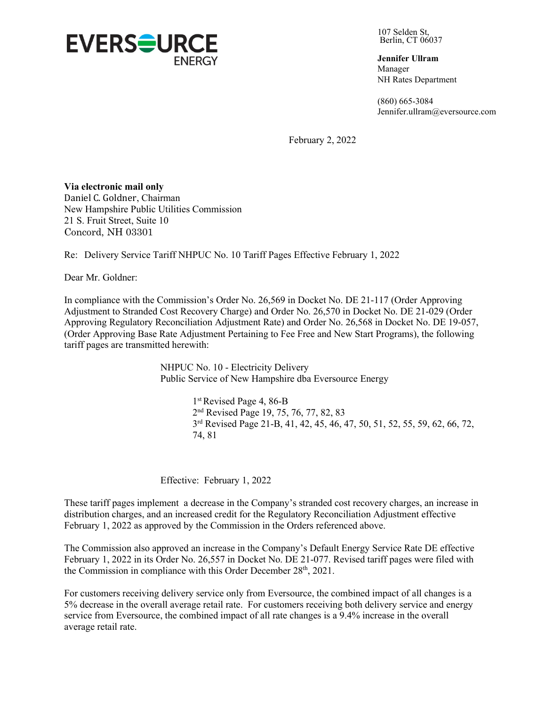

107 Selden St, Berlin, CT 06037

**Jennifer Ullram**  Manager NH Rates Department

(860) 665-3084 Jennifer.ullram@eversource.com

February 2, 2022

**Via electronic mail only**  Daniel C. Goldner, Chairman New Hampshire Public Utilities Commission 21 S. Fruit Street, Suite 10 Concord, NH 03301

Re: Delivery Service Tariff NHPUC No. 10 Tariff Pages Effective February 1, 2022

Dear Mr. Goldner:

In compliance with the Commission's Order No. 26,569 in Docket No. DE 21-117 (Order Approving Adjustment to Stranded Cost Recovery Charge) and Order No. 26,570 in Docket No. DE 21-029 (Order Approving Regulatory Reconciliation Adjustment Rate) and Order No. 26,568 in Docket No. DE 19-057, (Order Approving Base Rate Adjustment Pertaining to Fee Free and New Start Programs), the following tariff pages are transmitted herewith:

> NHPUC No. 10 - Electricity Delivery Public Service of New Hampshire dba Eversource Energy

> > 1<sup>st</sup> Revised Page 4, 86-B 2<sup>nd</sup> Revised Page 19, 75, 76, 77, 82, 83 3<sup>rd</sup> Revised Page 21-B, 41, 42, 45, 46, 47, 50, 51, 52, 55, 59, 62, 66, 72, 74, 81

Effective: February 1, 2022

These tariff pages implement a decrease in the Company's stranded cost recovery charges, an increase in distribution charges, and an increased credit for the Regulatory Reconciliation Adjustment effective February 1, 2022 as approved by the Commission in the Orders referenced above.

The Commission also approved an increase in the Company's Default Energy Service Rate DE effective February 1, 2022 in its Order No. 26,557 in Docket No. DE 21-077. Revised tariff pages were filed with the Commission in compliance with this Order December 28<sup>th</sup>, 2021.

For customers receiving delivery service only from Eversource, the combined impact of all changes is a 5% decrease in the overall average retail rate. For customers receiving both delivery service and energy service from Eversource, the combined impact of all rate changes is a 9.4% increase in the overall average retail rate.